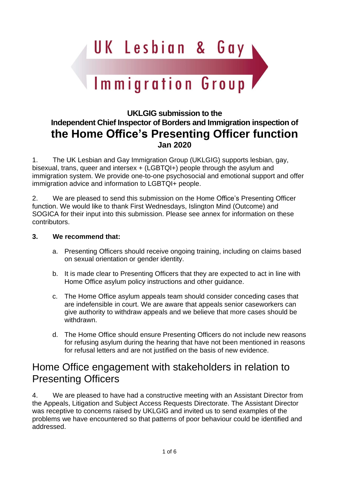UK Lesbian & Gay

# Immigration Group

### **UKLGIG submission to the Independent Chief Inspector of Borders and Immigration inspection of the Home Office's Presenting Officer function Jan 2020**

1. The UK Lesbian and Gay Immigration Group (UKLGIG) supports lesbian, gay, bisexual, trans, queer and intersex + (LGBTQI+) people through the asylum and immigration system. We provide one-to-one psychosocial and emotional support and offer immigration advice and information to LGBTQI+ people.

2. We are pleased to send this submission on the Home Office's Presenting Officer function. We would like to thank First Wednesdays, Islington Mind (Outcome) and SOGICA for their input into this submission. Please see annex for information on these contributors.

#### **3. We recommend that:**

- a. Presenting Officers should receive ongoing training, including on claims based on sexual orientation or gender identity.
- b. It is made clear to Presenting Officers that they are expected to act in line with Home Office asylum policy instructions and other guidance.
- c. The Home Office asylum appeals team should consider conceding cases that are indefensible in court. We are aware that appeals senior caseworkers can give authority to withdraw appeals and we believe that more cases should be withdrawn.
- d. The Home Office should ensure Presenting Officers do not include new reasons for refusing asylum during the hearing that have not been mentioned in reasons for refusal letters and are not justified on the basis of new evidence.

## Home Office engagement with stakeholders in relation to Presenting Officers

4. We are pleased to have had a constructive meeting with an Assistant Director from the Appeals, Litigation and Subject Access Requests Directorate. The Assistant Director was receptive to concerns raised by UKLGIG and invited us to send examples of the problems we have encountered so that patterns of poor behaviour could be identified and addressed.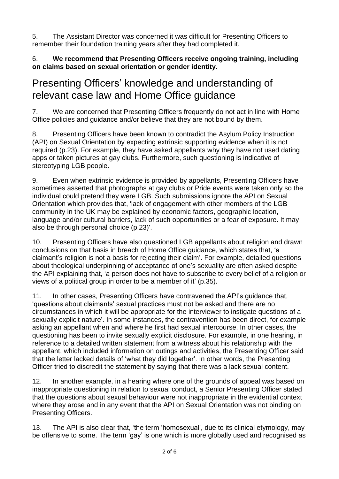5. The Assistant Director was concerned it was difficult for Presenting Officers to remember their foundation training years after they had completed it.

6. **We recommend that Presenting Officers receive ongoing training, including on claims based on sexual orientation or gender identity.**

## Presenting Officers' knowledge and understanding of relevant case law and Home Office guidance

7. We are concerned that Presenting Officers frequently do not act in line with Home Office policies and guidance and/or believe that they are not bound by them.

8. Presenting Officers have been known to contradict the Asylum Policy Instruction (API) on Sexual Orientation by expecting extrinsic supporting evidence when it is not required (p.23). For example, they have asked appellants why they have not used dating apps or taken pictures at gay clubs. Furthermore, such questioning is indicative of stereotyping LGB people.

9. Even when extrinsic evidence is provided by appellants, Presenting Officers have sometimes asserted that photographs at gay clubs or Pride events were taken only so the individual could pretend they were LGB. Such submissions ignore the API on Sexual Orientation which provides that, 'lack of engagement with other members of the LGB community in the UK may be explained by economic factors, geographic location, language and/or cultural barriers, lack of such opportunities or a fear of exposure. It may also be through personal choice (p.23)'.

10. Presenting Officers have also questioned LGB appellants about religion and drawn conclusions on that basis in breach of Home Office guidance, which states that, 'a claimant's religion is not a basis for rejecting their claim'. For example, detailed questions about theological underpinning of acceptance of one's sexuality are often asked despite the API explaining that, 'a person does not have to subscribe to every belief of a religion or views of a political group in order to be a member of it' (p.35).

11. In other cases, Presenting Officers have contravened the API's guidance that, 'questions about claimants' sexual practices must not be asked and there are no circumstances in which it will be appropriate for the interviewer to instigate questions of a sexually explicit nature'. In some instances, the contravention has been direct, for example asking an appellant when and where he first had sexual intercourse. In other cases, the questioning has been to invite sexually explicit disclosure. For example, in one hearing, in reference to a detailed written statement from a witness about his relationship with the appellant, which included information on outings and activities, the Presenting Officer said that the letter lacked details of 'what they did together'. In other words, the Presenting Officer tried to discredit the statement by saying that there was a lack sexual content.

12. In another example, in a hearing where one of the grounds of appeal was based on inappropriate questioning in relation to sexual conduct, a Senior Presenting Officer stated that the questions about sexual behaviour were not inappropriate in the evidential context where they arose and in any event that the API on Sexual Orientation was not binding on Presenting Officers.

13. The API is also clear that, 'the term 'homosexual', due to its clinical etymology, may be offensive to some. The term 'gay' is one which is more globally used and recognised as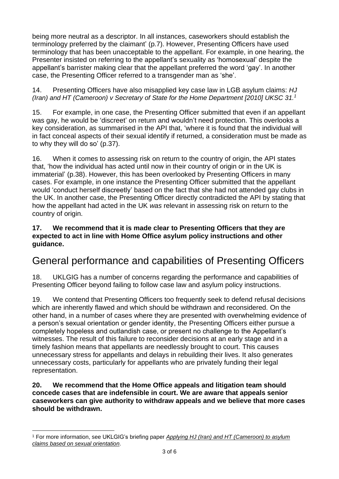being more neutral as a descriptor. In all instances, caseworkers should establish the terminology preferred by the claimant' (p.7). However, Presenting Officers have used terminology that has been unacceptable to the appellant. For example, in one hearing, the Presenter insisted on referring to the appellant's sexuality as 'homosexual' despite the appellant's barrister making clear that the appellant preferred the word 'gay'. In another case, the Presenting Officer referred to a transgender man as 'she'.

14. Presenting Officers have also misapplied key case law in LGB asylum claims: *HJ (Iran) and HT (Cameroon) v Secretary of State for the Home Department [2010] UKSC 31. 1*

15. For example, in one case, the Presenting Officer submitted that even if an appellant was gay, he would be 'discreet' on return and wouldn't need protection. This overlooks a key consideration, as summarised in the API that, 'where it is found that the individual will in fact conceal aspects of their sexual identify if returned, a consideration must be made as to why they will do so' (p.37).

16. When it comes to assessing risk on return to the country of origin, the API states that, 'how the individual has acted until now in their country of origin or in the UK is immaterial' (p.38). However, this has been overlooked by Presenting Officers in many cases. For example, in one instance the Presenting Officer submitted that the appellant would 'conduct herself discreetly' based on the fact that she had not attended gay clubs in the UK. In another case, the Presenting Officer directly contradicted the API by stating that how the appellant had acted in the UK *was* relevant in assessing risk on return to the country of origin.

#### **17. We recommend that it is made clear to Presenting Officers that they are expected to act in line with Home Office asylum policy instructions and other guidance.**

## General performance and capabilities of Presenting Officers

18. UKLGIG has a number of concerns regarding the performance and capabilities of Presenting Officer beyond failing to follow case law and asylum policy instructions.

19. We contend that Presenting Officers too frequently seek to defend refusal decisions which are inherently flawed and which should be withdrawn and reconsidered. On the other hand, in a number of cases where they are presented with overwhelming evidence of a person's sexual orientation or gender identity, the Presenting Officers either pursue a completely hopeless and outlandish case, or present no challenge to the Appellant's witnesses. The result of this failure to reconsider decisions at an early stage and in a timely fashion means that appellants are needlessly brought to court. This causes unnecessary stress for appellants and delays in rebuilding their lives. It also generates unnecessary costs, particularly for appellants who are privately funding their legal representation.

#### **20. We recommend that the Home Office appeals and litigation team should concede cases that are indefensible in court. We are aware that appeals senior caseworkers can give authority to withdraw appeals and we believe that more cases should be withdrawn.**

<sup>1</sup> For more information, see UKLGIG's briefing paper *Applying HJ (Iran) and HT [\(Cameroon\)](https://uklgig.org.uk/wp-content/uploads/2018/06/UKLGIG-on-HJ-Iran.pdf) to asylum claims based on sexual [orientation](https://uklgig.org.uk/wp-content/uploads/2018/06/UKLGIG-on-HJ-Iran.pdf)*.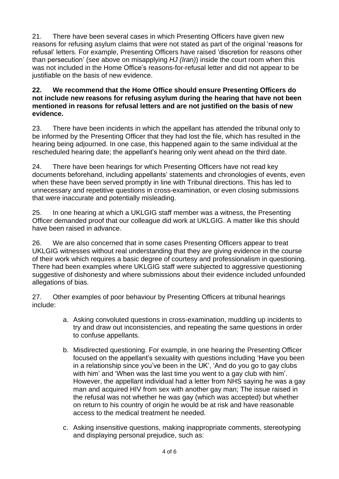21. There have been several cases in which Presenting Officers have given new reasons for refusing asylum claims that were not stated as part of the original 'reasons for refusal' letters. For example, Presenting Officers have raised 'discretion for reasons other than persecution' (see above on misapplying *HJ (Iran)*) inside the court room when this was not included in the Home Office's reasons-for-refusal letter and did not appear to be justifiable on the basis of new evidence.

#### **22. We recommend that the Home Office should ensure Presenting Officers do not include new reasons for refusing asylum during the hearing that have not been mentioned in reasons for refusal letters and are not justified on the basis of new evidence.**

23. There have been incidents in which the appellant has attended the tribunal only to be informed by the Presenting Officer that they had lost the file, which has resulted in the hearing being adjourned. In one case, this happened again to the same individual at the rescheduled hearing date; the appellant's hearing only went ahead on the third date.

24. There have been hearings for which Presenting Officers have not read key documents beforehand, including appellants' statements and chronologies of events, even when these have been served promptly in line with Tribunal directions. This has led to unnecessary and repetitive questions in cross-examination, or even closing submissions that were inaccurate and potentially misleading.

25. In one hearing at which a UKLGIG staff member was a witness, the Presenting Officer demanded proof that our colleague did work at UKLGIG. A matter like this should have been raised in advance.

26. We are also concerned that in some cases Presenting Officers appear to treat UKLGIG witnesses without real understanding that they are giving evidence in the course of their work which requires a basic degree of courtesy and professionalism in questioning. There had been examples where UKLGIG staff were subjected to aggressive questioning suggestive of dishonesty and where submissions about their evidence included unfounded allegations of bias.

27. Other examples of poor behaviour by Presenting Officers at tribunal hearings include:

- a. Asking convoluted questions in cross-examination, muddling up incidents to try and draw out inconsistencies, and repeating the same questions in order to confuse appellants.
- b. Misdirected questioning. For example, in one hearing the Presenting Officer focused on the appellant's sexuality with questions including 'Have you been in a relationship since you've been in the UK', 'And do you go to gay clubs with him' and 'When was the last time you went to a gay club with him'. However, the appellant individual had a letter from NHS saying he was a gay man and acquired HIV from sex with another gay man; The issue raised in the refusal was not whether he was gay (which was accepted) but whether on return to his country of origin he would be at risk and have reasonable access to the medical treatment he needed.
- c. Asking insensitive questions, making inappropriate comments, stereotyping and displaying personal prejudice, such as: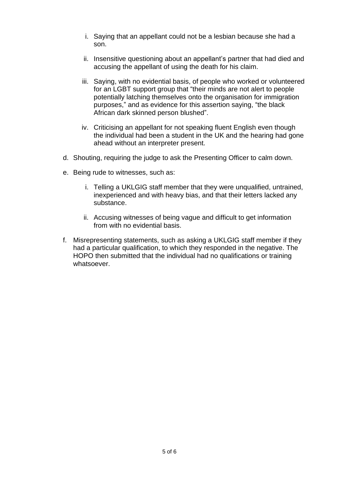- i. Saying that an appellant could not be a lesbian because she had a son.
- ii. Insensitive questioning about an appellant's partner that had died and accusing the appellant of using the death for his claim.
- iii. Saying, with no evidential basis, of people who worked or volunteered for an LGBT support group that "their minds are not alert to people potentially latching themselves onto the organisation for immigration purposes," and as evidence for this assertion saying, "the black African dark skinned person blushed".
- iv. Criticising an appellant for not speaking fluent English even though the individual had been a student in the UK and the hearing had gone ahead without an interpreter present.
- d. Shouting, requiring the judge to ask the Presenting Officer to calm down.
- e. Being rude to witnesses, such as:
	- i. Telling a UKLGIG staff member that they were unqualified, untrained, inexperienced and with heavy bias, and that their letters lacked any substance.
	- ii. Accusing witnesses of being vague and difficult to get information from with no evidential basis.
- f. Misrepresenting statements, such as asking a UKLGIG staff member if they had a particular qualification, to which they responded in the negative. The HOPO then submitted that the individual had no qualifications or training whatsoever.